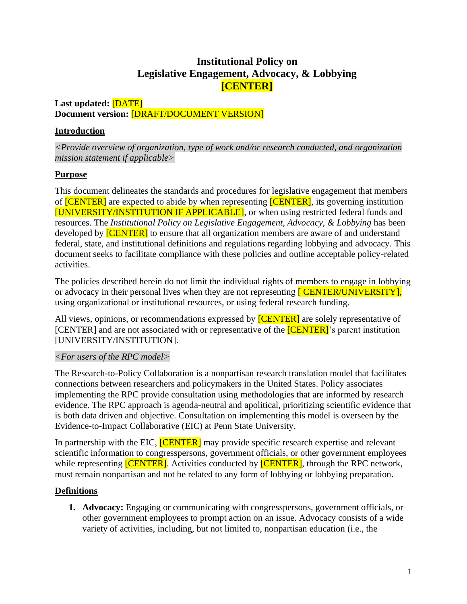# **Institutional Policy on Legislative Engagement, Advocacy, & Lobbying [CENTER]**

### **Last updated:** [DATE] **Document version:** [DRAFT/DOCUMENT VERSION]

## **Introduction**

*<Provide overview of organization, type of work and/or research conducted, and organization mission statement if applicable>*

### **Purpose**

This document delineates the standards and procedures for legislative engagement that members of **[CENTER]** are expected to abide by when representing **[CENTER]**, its governing institution [UNIVERSITY/INSTITUTION IF APPLICABLE], or when using restricted federal funds and resources. The *Institutional Policy on Legislative Engagement, Advocacy, & Lobbying* has been developed by **[CENTER]** to ensure that all organization members are aware of and understand federal, state, and institutional definitions and regulations regarding lobbying and advocacy. This document seeks to facilitate compliance with these policies and outline acceptable policy-related activities.

The policies described herein do not limit the individual rights of members to engage in lobbying or advocacy in their personal lives when they are not representing **[CENTER/UNIVERSITY]**, using organizational or institutional resources, or using federal research funding.

All views, opinions, or recommendations expressed by **[CENTER]** are solely representative of [CENTER] and are not associated with or representative of the **[CENTER]**'s parent institution [UNIVERSITY/INSTITUTION].

### *<For users of the RPC model>*

The Research-to-Policy Collaboration is a nonpartisan research translation model that facilitates connections between researchers and policymakers in the United States. Policy associates implementing the RPC provide consultation using methodologies that are informed by research evidence. The RPC approach is agenda-neutral and apolitical, prioritizing scientific evidence that is both data driven and objective. Consultation on implementing this model is overseen by the Evidence-to-Impact Collaborative (EIC) at Penn State University.

In partnership with the EIC, **[CENTER]** may provide specific research expertise and relevant scientific information to congresspersons, government officials, or other government employees while representing **[CENTER]**. Activities conducted by **[CENTER]**, through the RPC network, must remain nonpartisan and not be related to any form of lobbying or lobbying preparation.

## **Definitions**

**1. Advocacy:** Engaging or communicating with congresspersons, government officials, or other government employees to prompt action on an issue. Advocacy consists of a wide variety of activities, including, but not limited to, nonpartisan education (i.e., the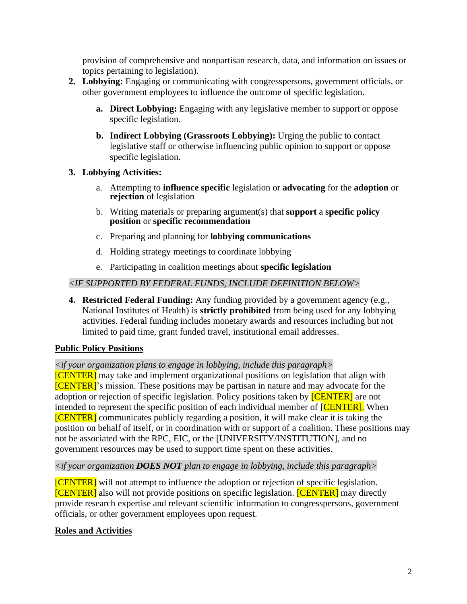provision of comprehensive and nonpartisan research, data, and information on issues or topics pertaining to legislation).

- **2. Lobbying:** Engaging or communicating with congresspersons, government officials, or other government employees to influence the outcome of specific legislation.
	- **a. Direct Lobbying:** Engaging with any legislative member to support or oppose specific legislation.
	- **b. Indirect Lobbying (Grassroots Lobbying):** Urging the public to contact legislative staff or otherwise influencing public opinion to support or oppose specific legislation.

### **3. Lobbying Activities:**

- a. Attempting to **influence specific** legislation or **advocating** for the **adoption** or **rejection** of legislation
- b. Writing materials or preparing argument(s) that **support** a **specific policy position** or **specific recommendation**
- c. Preparing and planning for **lobbying communications**
- d. Holding strategy meetings to coordinate lobbying
- e. Participating in coalition meetings about **specific legislation**

### *<IF SUPPORTED BY FEDERAL FUNDS, INCLUDE DEFINITION BELOW>*

**4. Restricted Federal Funding:** Any funding provided by a government agency (e.g., National Institutes of Health) is **strictly prohibited** from being used for any lobbying activities. Federal funding includes monetary awards and resources including but not limited to paid time, grant funded travel, institutional email addresses.

## **Public Policy Positions**

## *<if your organization plans to engage in lobbying, include this paragraph>*

[CENTER] may take and implement organizational positions on legislation that align with [CENTER]'s mission. These positions may be partisan in nature and may advocate for the adoption or rejection of specific legislation. Policy positions taken by **[CENTER]** are not intended to represent the specific position of each individual member of [CENTER]. When [CENTER] communicates publicly regarding a position, it will make clear it is taking the position on behalf of itself, or in coordination with or support of a coalition. These positions may not be associated with the RPC, EIC, or the [UNIVERSITY/INSTITUTION], and no government resources may be used to support time spent on these activities.

### *<if your organization DOES NOT plan to engage in lobbying, include this paragraph>*

[CENTER] will not attempt to influence the adoption or rejection of specific legislation. [CENTER] also will not provide positions on specific legislation. [CENTER] may directly provide research expertise and relevant scientific information to congresspersons, government officials, or other government employees upon request.

## **Roles and Activities**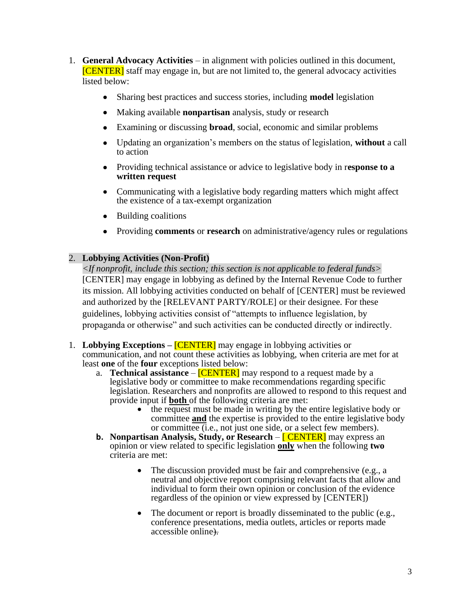- 1. **General Advocacy Activities** in alignment with policies outlined in this document, [CENTER] staff may engage in, but are not limited to, the general advocacy activities listed below:
	- Sharing best practices and success stories, including **model** legislation
	- Making available **nonpartisan** analysis, study or research
	- Examining or discussing **broad**, social, economic and similar problems
	- Updating an organization's members on the status of legislation, **without** a call to action
	- Providing technical assistance or advice to legislative body in r**esponse to a written request**
	- Communicating with a legislative body regarding matters which might affect the existence of a tax-exempt organization
	- Building coalitions
	- Providing **comments** or **research** on administrative/agency rules or regulations

#### 2. **Lobbying Activities (Non-Profit)**

*<If nonprofit, include this section; this section is not applicable to federal funds>*  [CENTER] may engage in lobbying as defined by the Internal Revenue Code to further its mission. All lobbying activities conducted on behalf of [CENTER] must be reviewed and authorized by the [RELEVANT PARTY/ROLE] or their designee. For these guidelines, lobbying activities consist of "attempts to influence legislation, by propaganda or otherwise" and such activities can be conducted directly or indirectly.

- 1. **Lobbying Exceptions –** [CENTER] may engage in lobbying activities or communication, and not count these activities as lobbying, when criteria are met for at least **one** of the **four** exceptions listed below:
	- a. **Technical assistance [CENTER]** may respond to a request made by a legislative body or committee to make recommendations regarding specific legislation. Researchers and nonprofits are allowed to respond to this request and provide input if **both** of the following criteria are met:
		- the request must be made in writing by the entire legislative body or committee **and** the expertise is provided to the entire legislative body or committee (i.e., not just one side, or a select few members).
	- **b. Nonpartisan Analysis, Study, or Research [CENTER]** may express an opinion or view related to specific legislation **only** when the following **two** criteria are met:
		- The discussion provided must be fair and comprehensive (e.g., a neutral and objective report comprising relevant facts that allow and individual to form their own opinion or conclusion of the evidence regardless of the opinion or view expressed by [CENTER])
		- The document or report is broadly disseminated to the public (e.g., conference presentations, media outlets, articles or reports made accessible online).